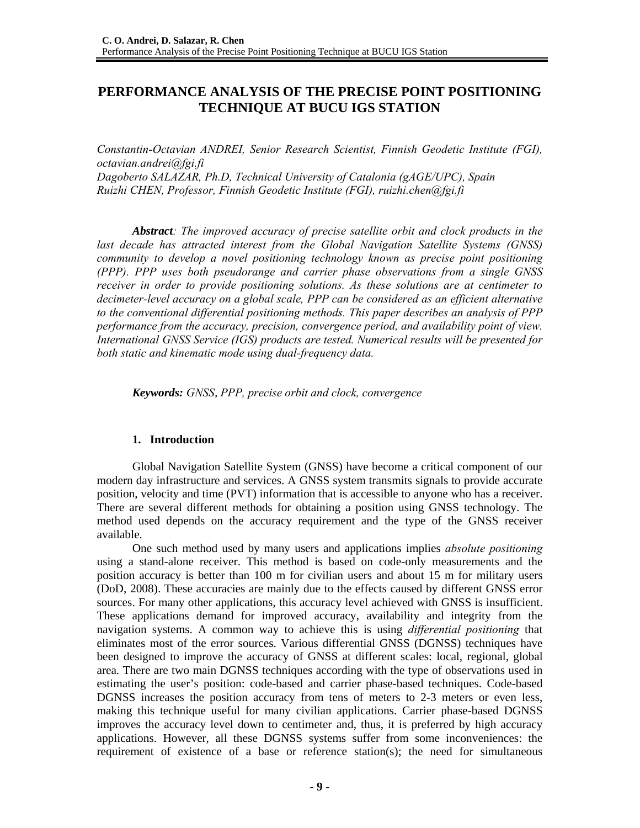# **PERFORMANCE ANALYSIS OF THE PRECISE POINT POSITIONING TECHNIQUE AT BUCU IGS STATION**

*Constantin-Octavian ANDREI, Senior Research Scientist, Finnish Geodetic Institute (FGI), octavian.andrei@fgi.fi Dagoberto SALAZAR, Ph.D, Technical University of Catalonia (gAGE/UPC), Spain Ruizhi CHEN, Professor, Finnish Geodetic Institute (FGI), ruizhi.chen@fgi.fi* 

*Abstract: The improved accuracy of precise satellite orbit and clock products in the last decade has attracted interest from the Global Navigation Satellite Systems (GNSS) community to develop a novel positioning technology known as precise point positioning (PPP). PPP uses both pseudorange and carrier phase observations from a single GNSS receiver in order to provide positioning solutions. As these solutions are at centimeter to decimeter-level accuracy on a global scale, PPP can be considered as an efficient alternative to the conventional differential positioning methods. This paper describes an analysis of PPP performance from the accuracy, precision, convergence period, and availability point of view. International GNSS Service (IGS) products are tested. Numerical results will be presented for both static and kinematic mode using dual-frequency data.* 

*Keywords: GNSS*, *PPP, precise orbit and clock, convergence* 

### **1. Introduction**

Global Navigation Satellite System (GNSS) have become a critical component of our modern day infrastructure and services. A GNSS system transmits signals to provide accurate position, velocity and time (PVT) information that is accessible to anyone who has a receiver. There are several different methods for obtaining a position using GNSS technology. The method used depends on the accuracy requirement and the type of the GNSS receiver available.

One such method used by many users and applications implies *absolute positioning* using a stand-alone receiver. This method is based on code-only measurements and the position accuracy is better than 100 m for civilian users and about 15 m for military users (DoD, 2008). These accuracies are mainly due to the effects caused by different GNSS error sources. For many other applications, this accuracy level achieved with GNSS is insufficient. These applications demand for improved accuracy, availability and integrity from the navigation systems. A common way to achieve this is using *differential positioning* that eliminates most of the error sources. Various differential GNSS (DGNSS) techniques have been designed to improve the accuracy of GNSS at different scales: local, regional, global area. There are two main DGNSS techniques according with the type of observations used in estimating the user's position: code-based and carrier phase-based techniques. Code-based DGNSS increases the position accuracy from tens of meters to 2-3 meters or even less, making this technique useful for many civilian applications. Carrier phase-based DGNSS improves the accuracy level down to centimeter and, thus, it is preferred by high accuracy applications. However, all these DGNSS systems suffer from some inconveniences: the requirement of existence of a base or reference station(s); the need for simultaneous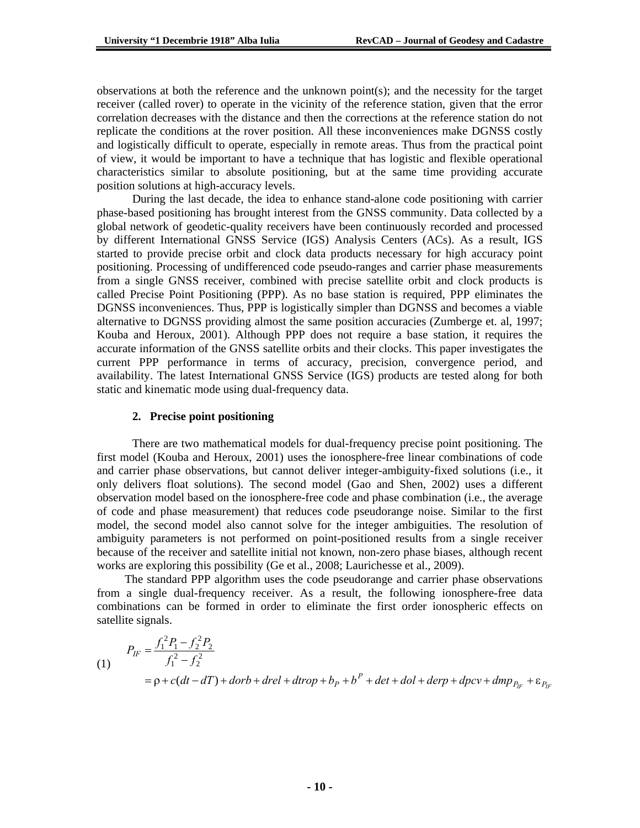observations at both the reference and the unknown point(s); and the necessity for the target receiver (called rover) to operate in the vicinity of the reference station, given that the error correlation decreases with the distance and then the corrections at the reference station do not replicate the conditions at the rover position. All these inconveniences make DGNSS costly and logistically difficult to operate, especially in remote areas. Thus from the practical point of view, it would be important to have a technique that has logistic and flexible operational characteristics similar to absolute positioning, but at the same time providing accurate position solutions at high-accuracy levels.

 During the last decade, the idea to enhance stand-alone code positioning with carrier phase-based positioning has brought interest from the GNSS community. Data collected by a global network of geodetic-quality receivers have been continuously recorded and processed by different International GNSS Service (IGS) Analysis Centers (ACs). As a result, IGS started to provide precise orbit and clock data products necessary for high accuracy point positioning. Processing of undifferenced code pseudo-ranges and carrier phase measurements from a single GNSS receiver, combined with precise satellite orbit and clock products is called Precise Point Positioning (PPP). As no base station is required, PPP eliminates the DGNSS inconveniences. Thus, PPP is logistically simpler than DGNSS and becomes a viable alternative to DGNSS providing almost the same position accuracies (Zumberge et. al, 1997; Kouba and Heroux, 2001). Although PPP does not require a base station, it requires the accurate information of the GNSS satellite orbits and their clocks. This paper investigates the current PPP performance in terms of accuracy, precision, convergence period, and availability. The latest International GNSS Service (IGS) products are tested along for both static and kinematic mode using dual-frequency data.

### **2. Precise point positioning**

There are two mathematical models for dual-frequency precise point positioning. The first model (Kouba and Heroux, 2001) uses the ionosphere-free linear combinations of code and carrier phase observations, but cannot deliver integer-ambiguity-fixed solutions (i.e., it only delivers float solutions). The second model (Gao and Shen, 2002) uses a different observation model based on the ionosphere-free code and phase combination (i.e., the average of code and phase measurement) that reduces code pseudorange noise. Similar to the first model, the second model also cannot solve for the integer ambiguities. The resolution of ambiguity parameters is not performed on point-positioned results from a single receiver because of the receiver and satellite initial not known, non-zero phase biases, although recent works are exploring this possibility (Ge et al., 2008; Laurichesse et al., 2009).

The standard PPP algorithm uses the code pseudorange and carrier phase observations from a single dual-frequency receiver. As a result, the following ionosphere-free data combinations can be formed in order to eliminate the first order ionospheric effects on satellite signals.

(1) 
$$
P_{IF} = \frac{f_1^2 P_1 - f_2^2 P_2}{f_1^2 - f_2^2}
$$
  
=  $\rho + c(dt - dT) + dorb + drel + dtrop + b_P + b^P + det + dol + derp + dpcv + dmp_{P_{IF}} + \varepsilon_{P_{IF}}$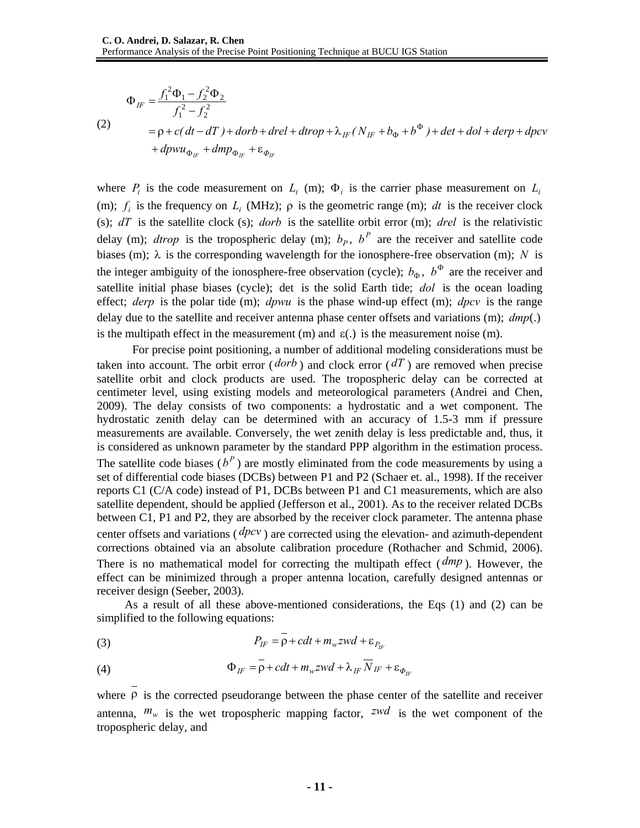(2)

$$
\Phi_{IF} = \frac{f_1^2 \Phi_1 - f_2^2 \Phi_2}{f_1^2 - f_2^2}
$$
  
=  $\rho + c(dt - dT) + dorb + drel + dtrop + \lambda_{IF}(N_{IF} + b_{\Phi} + b^{\Phi}) + det + dol + derp + dpcv$   
+  $dp w u_{\Phi_{IF}} + dmp_{\Phi_{IF}} + \varepsilon_{\Phi_{IF}}$ 

where  $P_i$  is the code measurement on  $L_i$  (m);  $\Phi_i$  is the carrier phase measurement on  $L_i$ (m);  $f_i$  is the frequency on  $L_i$  (MHz);  $\rho$  is the geometric range (m); *dt* is the receiver clock (s); *dT* is the satellite clock (s); *dorb* is the satellite orbit error (m); *drel* is the relativistic delay (m); *dtrop* is the tropospheric delay (m);  $b_p$ ,  $b^P$  are the receiver and satellite code biases (m);  $\lambda$  is the corresponding wavelength for the ionosphere-free observation (m); *N* is the integer ambiguity of the ionosphere-free observation (cycle);  $b_{\alpha}$ ,  $b^{\Phi}$  are the receiver and satellite initial phase biases (cycle); det is the solid Earth tide; *dol* is the ocean loading effect; *derp* is the polar tide (m); *dpwu* is the phase wind-up effect (m); *dpcv* is the range delay due to the satellite and receiver antenna phase center offsets and variations (m); *dmp*(.) is the multipath effect in the measurement (m) and  $\varepsilon$ . is the measurement noise (m).

 For precise point positioning, a number of additional modeling considerations must be taken into account. The orbit error ( $d$ orb) and clock error ( $dT$ ) are removed when precise satellite orbit and clock products are used. The tropospheric delay can be corrected at centimeter level, using existing models and meteorological parameters (Andrei and Chen, 2009). The delay consists of two components: a hydrostatic and a wet component. The hydrostatic zenith delay can be determined with an accuracy of 1.5-3 mm if pressure measurements are available. Conversely, the wet zenith delay is less predictable and, thus, it is considered as unknown parameter by the standard PPP algorithm in the estimation process. The satellite code biases ( $b^P$ ) are mostly eliminated from the code measurements by using a set of differential code biases (DCBs) between P1 and P2 (Schaer et. al., 1998). If the receiver reports C1 (C/A code) instead of P1, DCBs between P1 and C1 measurements, which are also satellite dependent, should be applied (Jefferson et al., 2001). As to the receiver related DCBs between C1, P1 and P2, they are absorbed by the receiver clock parameter. The antenna phase center offsets and variations ( *dpcv* ) are corrected using the elevation- and azimuth-dependent corrections obtained via an absolute calibration procedure (Rothacher and Schmid, 2006). There is no mathematical model for correcting the multipath effect ( *dmp* ). However, the effect can be minimized through a proper antenna location, carefully designed antennas or receiver design (Seeber, 2003).

As a result of all these above-mentioned considerations, the Eqs (1) and (2) can be simplified to the following equations:

(3) 
$$
P_{IF} = \overline{\rho} + cdt + m_w zwd + \varepsilon_{P_{IF}}
$$

(4) 
$$
\Phi_{IF} = \overline{\rho} + cdt + m_w zwd + \lambda_{IF} \overline{N}_{IF} + \varepsilon_{\Phi_{IF}}
$$

where  $\overline{\rho}$  is the corrected pseudorange between the phase center of the satellite and receiver antenna,  $m_w$  is the wet tropospheric mapping factor, *zwd* is the wet component of the tropospheric delay, and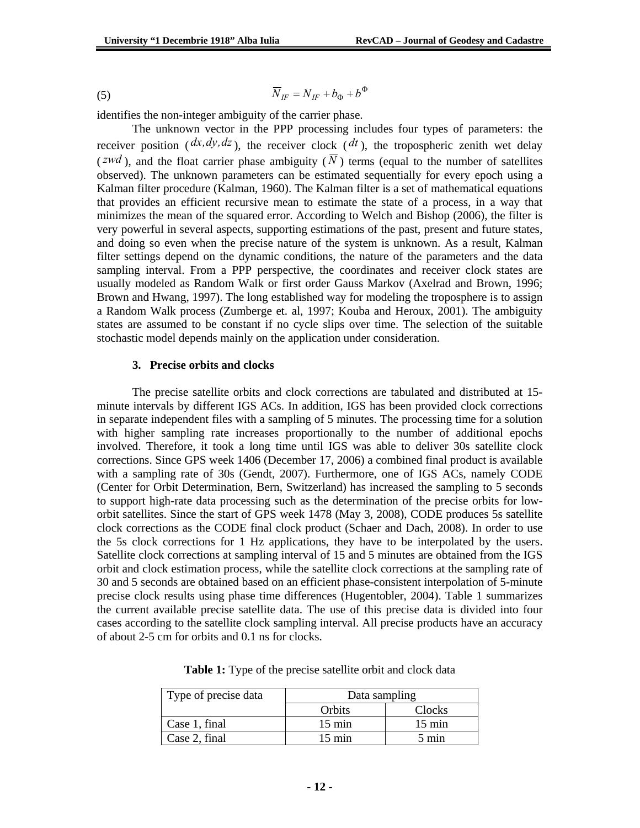$$
\overline{N}_{IF} = N_{IF} + b_{\Phi} + b^{\Phi}
$$

identifies the non-integer ambiguity of the carrier phase.

The unknown vector in the PPP processing includes four types of parameters: the receiver position ( $dx, dy, dz$ ), the receiver clock ( $dt$ ), the tropospheric zenith wet delay (*zwd*), and the float carrier phase ambiguity ( $\overline{N}$ ) terms (equal to the number of satellites observed). The unknown parameters can be estimated sequentially for every epoch using a Kalman filter procedure (Kalman, 1960). The Kalman filter is a set of mathematical equations that provides an efficient recursive mean to estimate the state of a process, in a way that minimizes the mean of the squared error. According to Welch and Bishop (2006), the filter is very powerful in several aspects, supporting estimations of the past, present and future states, and doing so even when the precise nature of the system is unknown. As a result, Kalman filter settings depend on the dynamic conditions, the nature of the parameters and the data sampling interval. From a PPP perspective, the coordinates and receiver clock states are usually modeled as Random Walk or first order Gauss Markov (Axelrad and Brown, 1996; Brown and Hwang, 1997). The long established way for modeling the troposphere is to assign a Random Walk process (Zumberge et. al, 1997; Kouba and Heroux, 2001). The ambiguity states are assumed to be constant if no cycle slips over time. The selection of the suitable stochastic model depends mainly on the application under consideration.

#### **3. Precise orbits and clocks**

The precise satellite orbits and clock corrections are tabulated and distributed at 15 minute intervals by different IGS ACs. In addition, IGS has been provided clock corrections in separate independent files with a sampling of 5 minutes. The processing time for a solution with higher sampling rate increases proportionally to the number of additional epochs involved. Therefore, it took a long time until IGS was able to deliver 30s satellite clock corrections. Since GPS week 1406 (December 17, 2006) a combined final product is available with a sampling rate of 30s (Gendt, 2007). Furthermore, one of IGS ACs, namely CODE (Center for Orbit Determination, Bern, Switzerland) has increased the sampling to 5 seconds to support high-rate data processing such as the determination of the precise orbits for loworbit satellites. Since the start of GPS week 1478 (May 3, 2008), CODE produces 5s satellite clock corrections as the CODE final clock product (Schaer and Dach, 2008). In order to use the 5s clock corrections for 1 Hz applications, they have to be interpolated by the users. Satellite clock corrections at sampling interval of 15 and 5 minutes are obtained from the IGS orbit and clock estimation process, while the satellite clock corrections at the sampling rate of 30 and 5 seconds are obtained based on an efficient phase-consistent interpolation of 5-minute precise clock results using phase time differences (Hugentobler, 2004). Table 1 summarizes the current available precise satellite data. The use of this precise data is divided into four cases according to the satellite clock sampling interval. All precise products have an accuracy of about 2-5 cm for orbits and 0.1 ns for clocks.

| Type of precise data | Data sampling    |                  |  |
|----------------------|------------------|------------------|--|
|                      | Orbits           | Clocks           |  |
| Case 1, final        | $15 \text{ min}$ | $15 \text{ min}$ |  |
| Case 2, final        | $15 \text{ min}$ | $5 \text{ min}$  |  |

**Table 1:** Type of the precise satellite orbit and clock data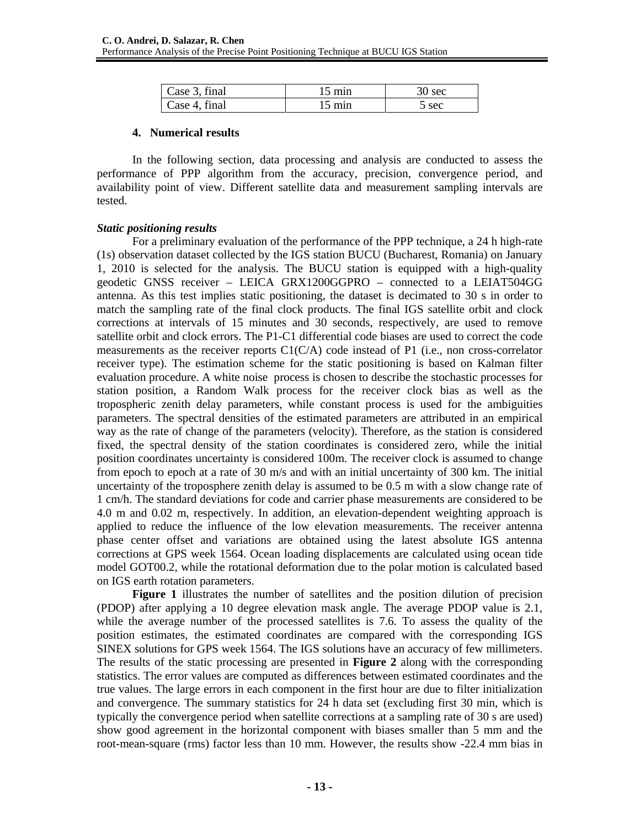| Case 3, final | 15 min | sec |
|---------------|--------|-----|
| Case 4, final | 15 min | sec |

### **4. Numerical results**

In the following section, data processing and analysis are conducted to assess the performance of PPP algorithm from the accuracy, precision, convergence period, and availability point of view. Different satellite data and measurement sampling intervals are tested.

### *Static positioning results*

For a preliminary evaluation of the performance of the PPP technique, a 24 h high-rate (1s) observation dataset collected by the IGS station BUCU (Bucharest, Romania) on January 1, 2010 is selected for the analysis. The BUCU station is equipped with a high-quality geodetic GNSS receiver – LEICA GRX1200GGPRO – connected to a LEIAT504GG antenna. As this test implies static positioning, the dataset is decimated to 30 s in order to match the sampling rate of the final clock products. The final IGS satellite orbit and clock corrections at intervals of 15 minutes and 30 seconds, respectively, are used to remove satellite orbit and clock errors. The P1-C1 differential code biases are used to correct the code measurements as the receiver reports C1(C/A) code instead of P1 (i.e., non cross-correlator receiver type). The estimation scheme for the static positioning is based on Kalman filter evaluation procedure. A white noise process is chosen to describe the stochastic processes for station position, a Random Walk process for the receiver clock bias as well as the tropospheric zenith delay parameters, while constant process is used for the ambiguities parameters. The spectral densities of the estimated parameters are attributed in an empirical way as the rate of change of the parameters (velocity). Therefore, as the station is considered fixed, the spectral density of the station coordinates is considered zero, while the initial position coordinates uncertainty is considered 100m. The receiver clock is assumed to change from epoch to epoch at a rate of 30 m/s and with an initial uncertainty of 300 km. The initial uncertainty of the troposphere zenith delay is assumed to be 0.5 m with a slow change rate of 1 cm/h. The standard deviations for code and carrier phase measurements are considered to be 4.0 m and 0.02 m, respectively. In addition, an elevation-dependent weighting approach is applied to reduce the influence of the low elevation measurements. The receiver antenna phase center offset and variations are obtained using the latest absolute IGS antenna corrections at GPS week 1564. Ocean loading displacements are calculated using ocean tide model GOT00.2, while the rotational deformation due to the polar motion is calculated based on IGS earth rotation parameters.

**Figure 1** illustrates the number of satellites and the position dilution of precision (PDOP) after applying a 10 degree elevation mask angle. The average PDOP value is 2.1, while the average number of the processed satellites is 7.6. To assess the quality of the position estimates, the estimated coordinates are compared with the corresponding IGS SINEX solutions for GPS week 1564. The IGS solutions have an accuracy of few millimeters. The results of the static processing are presented in **Figure 2** along with the corresponding statistics. The error values are computed as differences between estimated coordinates and the true values. The large errors in each component in the first hour are due to filter initialization and convergence. The summary statistics for 24 h data set (excluding first 30 min, which is typically the convergence period when satellite corrections at a sampling rate of 30 s are used) show good agreement in the horizontal component with biases smaller than 5 mm and the root-mean-square (rms) factor less than 10 mm. However, the results show -22.4 mm bias in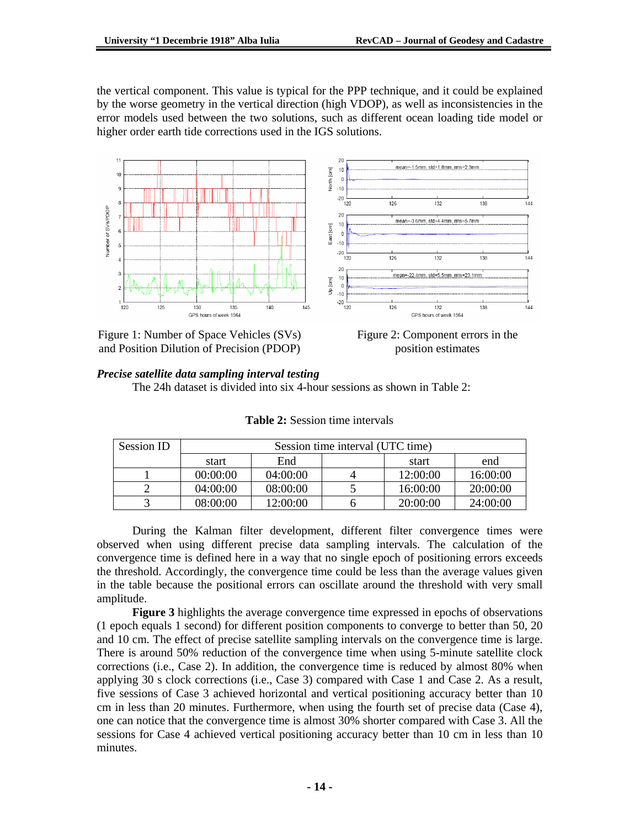the vertical component. This value is typical for the PPP technique, and it could be explained by the worse geometry in the vertical direction (high VDOP), as well as inconsistencies in the error models used between the two solutions, such as different ocean loading tide model or higher order earth tide corrections used in the IGS solutions.



Figure 1: Number of Space Vehicles (SVs) and Position Dilution of Precision (PDOP)



## *Precise satellite data sampling interval testing*

The 24h dataset is divided into six 4-hour sessions as shown in Table 2:

| Session ID | Session time interval (UTC time) |          |  |          |          |
|------------|----------------------------------|----------|--|----------|----------|
|            | start                            | End      |  | start    | end      |
|            | 00:00:00                         | 04:00:00 |  | 12:00:00 | 16:00:00 |
|            | 04:00:00                         | 08:00:00 |  | 16:00:00 | 20:00:00 |
|            | 08:00:00                         | 12:00:00 |  | 20:00:00 | 24:00:00 |

| <b>Table 2:</b> Session time intervals |  |
|----------------------------------------|--|
|----------------------------------------|--|

During the Kalman filter development, different filter convergence times were observed when using different precise data sampling intervals. The calculation of the convergence time is defined here in a way that no single epoch of positioning errors exceeds the threshold. Accordingly, the convergence time could be less than the average values given in the table because the positional errors can oscillate around the threshold with very small amplitude.

**Figure 3** highlights the average convergence time expressed in epochs of observations (1 epoch equals 1 second) for different position components to converge to better than 50, 20 and 10 cm. The effect of precise satellite sampling intervals on the convergence time is large. There is around 50% reduction of the convergence time when using 5-minute satellite clock corrections (i.e., Case 2). In addition, the convergence time is reduced by almost 80% when applying 30 s clock corrections (i.e., Case 3) compared with Case 1 and Case 2. As a result, five sessions of Case 3 achieved horizontal and vertical positioning accuracy better than 10 cm in less than 20 minutes. Furthermore, when using the fourth set of precise data (Case 4), one can notice that the convergence time is almost 30% shorter compared with Case 3. All the sessions for Case 4 achieved vertical positioning accuracy better than 10 cm in less than 10 minutes.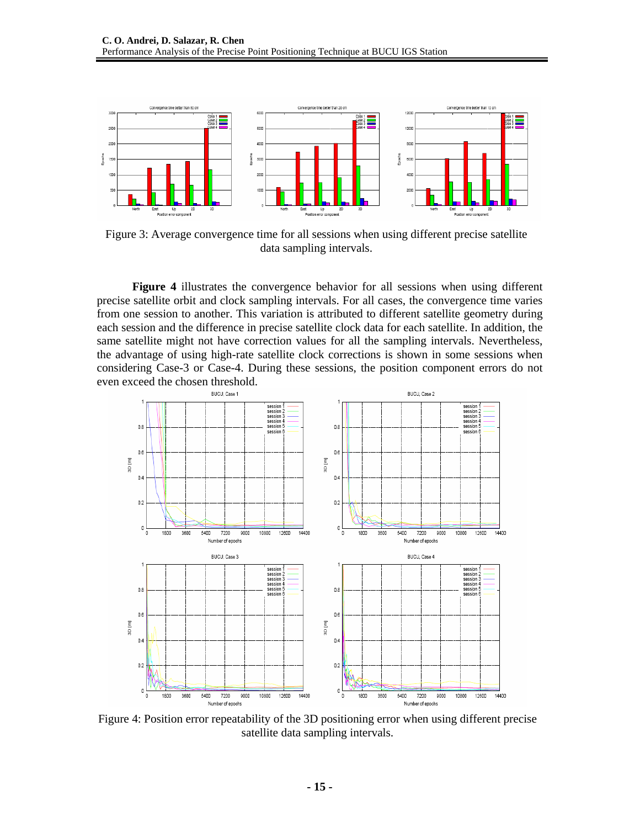

Figure 3: Average convergence time for all sessions when using different precise satellite data sampling intervals.

**Figure 4** illustrates the convergence behavior for all sessions when using different precise satellite orbit and clock sampling intervals. For all cases, the convergence time varies from one session to another. This variation is attributed to different satellite geometry during each session and the difference in precise satellite clock data for each satellite. In addition, the same satellite might not have correction values for all the sampling intervals. Nevertheless, the advantage of using high-rate satellite clock corrections is shown in some sessions when considering Case-3 or Case-4. During these sessions, the position component errors do not even exceed the chosen threshold.



Figure 4: Position error repeatability of the 3D positioning error when using different precise satellite data sampling intervals.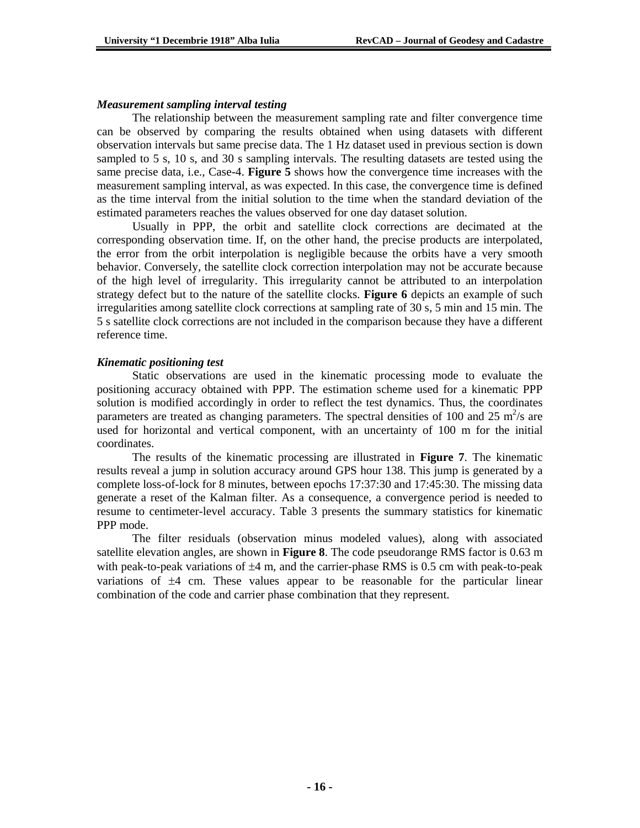#### *Measurement sampling interval testing*

The relationship between the measurement sampling rate and filter convergence time can be observed by comparing the results obtained when using datasets with different observation intervals but same precise data. The 1 Hz dataset used in previous section is down sampled to 5 s, 10 s, and 30 s sampling intervals. The resulting datasets are tested using the same precise data, i.e., Case-4. **Figure 5** shows how the convergence time increases with the measurement sampling interval, as was expected. In this case, the convergence time is defined as the time interval from the initial solution to the time when the standard deviation of the estimated parameters reaches the values observed for one day dataset solution.

Usually in PPP, the orbit and satellite clock corrections are decimated at the corresponding observation time. If, on the other hand, the precise products are interpolated, the error from the orbit interpolation is negligible because the orbits have a very smooth behavior. Conversely, the satellite clock correction interpolation may not be accurate because of the high level of irregularity. This irregularity cannot be attributed to an interpolation strategy defect but to the nature of the satellite clocks. **Figure 6** depicts an example of such irregularities among satellite clock corrections at sampling rate of 30 s, 5 min and 15 min. The 5 s satellite clock corrections are not included in the comparison because they have a different reference time.

### *Kinematic positioning test*

Static observations are used in the kinematic processing mode to evaluate the positioning accuracy obtained with PPP. The estimation scheme used for a kinematic PPP solution is modified accordingly in order to reflect the test dynamics. Thus, the coordinates parameters are treated as changing parameters. The spectral densities of 100 and 25  $\text{m}^2\text{/s}$  are used for horizontal and vertical component, with an uncertainty of 100 m for the initial coordinates.

The results of the kinematic processing are illustrated in **Figure 7**. The kinematic results reveal a jump in solution accuracy around GPS hour 138. This jump is generated by a complete loss-of-lock for 8 minutes, between epochs 17:37:30 and 17:45:30. The missing data generate a reset of the Kalman filter. As a consequence, a convergence period is needed to resume to centimeter-level accuracy. Table 3 presents the summary statistics for kinematic PPP mode.

The filter residuals (observation minus modeled values), along with associated satellite elevation angles, are shown in **Figure 8**. The code pseudorange RMS factor is 0.63 m with peak-to-peak variations of  $\pm 4$  m, and the carrier-phase RMS is 0.5 cm with peak-to-peak variations of ±4 cm. These values appear to be reasonable for the particular linear combination of the code and carrier phase combination that they represent.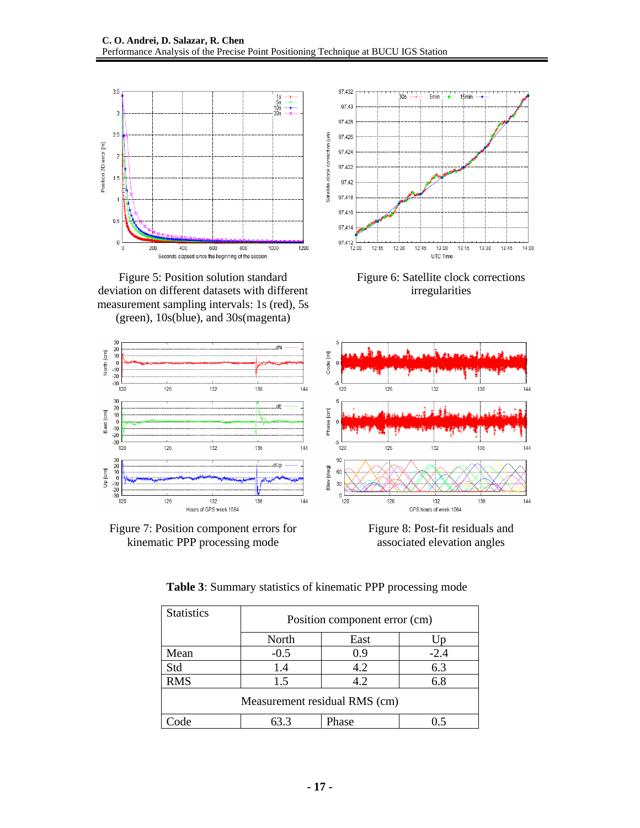

Figure 5: Position solution standard deviation on different datasets with different measurement sampling intervals: 1s (red), 5s (green), 10s(blue), and 30s(magenta)



Figure 6: Satellite clock corrections irregularities



Figure 7: Position component errors for kinematic PPP processing mode

Figure 8: Post-fit residuals and associated elevation angles

| <b>Statistics</b>             | Position component error (cm) |       |        |  |
|-------------------------------|-------------------------------|-------|--------|--|
|                               | North                         | East  |        |  |
| Mean                          | $-0.5$                        | 0.9   | $-2.4$ |  |
| Std                           | 1.4                           | 4.2   | 6.3    |  |
| <b>RMS</b>                    | 1.5                           | 4.2   | 6.8    |  |
| Measurement residual RMS (cm) |                               |       |        |  |
| ode                           | 63.3                          | Phase |        |  |

**Table 3**: Summary statistics of kinematic PPP processing mode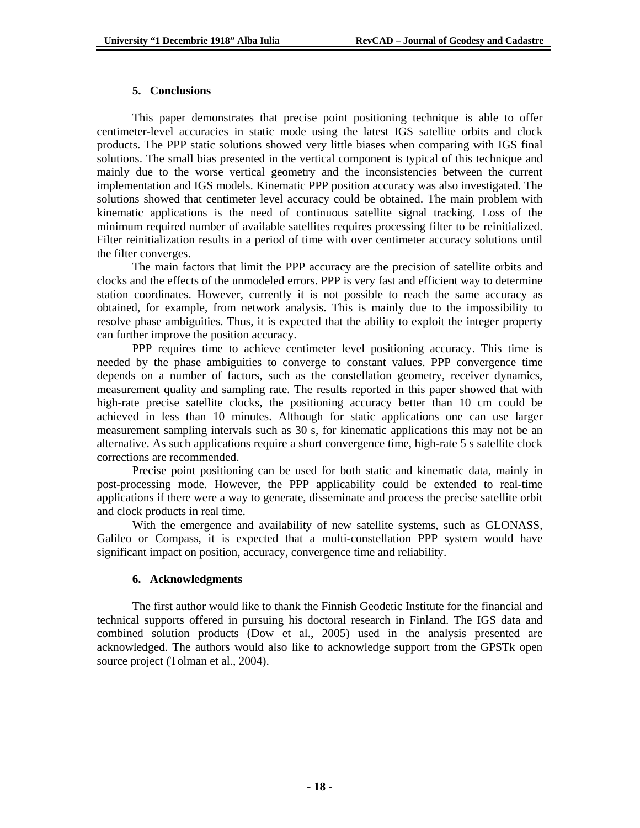### **5. Conclusions**

This paper demonstrates that precise point positioning technique is able to offer centimeter-level accuracies in static mode using the latest IGS satellite orbits and clock products. The PPP static solutions showed very little biases when comparing with IGS final solutions. The small bias presented in the vertical component is typical of this technique and mainly due to the worse vertical geometry and the inconsistencies between the current implementation and IGS models. Kinematic PPP position accuracy was also investigated. The solutions showed that centimeter level accuracy could be obtained. The main problem with kinematic applications is the need of continuous satellite signal tracking. Loss of the minimum required number of available satellites requires processing filter to be reinitialized. Filter reinitialization results in a period of time with over centimeter accuracy solutions until the filter converges.

The main factors that limit the PPP accuracy are the precision of satellite orbits and clocks and the effects of the unmodeled errors. PPP is very fast and efficient way to determine station coordinates. However, currently it is not possible to reach the same accuracy as obtained, for example, from network analysis. This is mainly due to the impossibility to resolve phase ambiguities. Thus, it is expected that the ability to exploit the integer property can further improve the position accuracy.

PPP requires time to achieve centimeter level positioning accuracy. This time is needed by the phase ambiguities to converge to constant values. PPP convergence time depends on a number of factors, such as the constellation geometry, receiver dynamics, measurement quality and sampling rate. The results reported in this paper showed that with high-rate precise satellite clocks, the positioning accuracy better than 10 cm could be achieved in less than 10 minutes. Although for static applications one can use larger measurement sampling intervals such as 30 s, for kinematic applications this may not be an alternative. As such applications require a short convergence time, high-rate 5 s satellite clock corrections are recommended.

Precise point positioning can be used for both static and kinematic data, mainly in post-processing mode. However, the PPP applicability could be extended to real-time applications if there were a way to generate, disseminate and process the precise satellite orbit and clock products in real time.

With the emergence and availability of new satellite systems, such as GLONASS, Galileo or Compass, it is expected that a multi-constellation PPP system would have significant impact on position, accuracy, convergence time and reliability.

### **6. Acknowledgments**

The first author would like to thank the Finnish Geodetic Institute for the financial and technical supports offered in pursuing his doctoral research in Finland. The IGS data and combined solution products (Dow et al., 2005) used in the analysis presented are acknowledged. The authors would also like to acknowledge support from the GPSTk open source project (Tolman et al., 2004).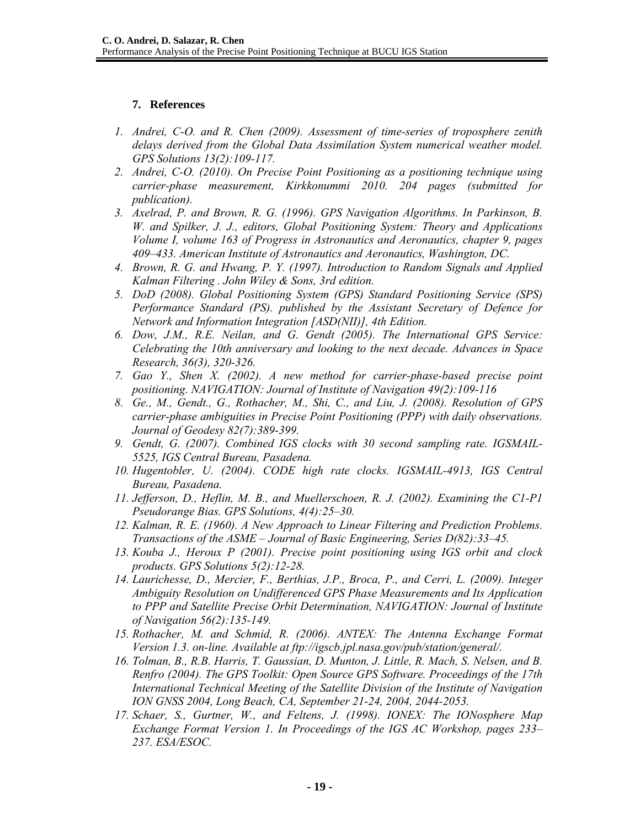## **7. References**

- *1. Andrei, C-O. and R. Chen (2009). Assessment of time-series of troposphere zenith delays derived from the Global Data Assimilation System numerical weather model. GPS Solutions 13(2):109-117.*
- *2. Andrei, C-O. (2010). On Precise Point Positioning as a positioning technique using carrier-phase measurement, Kirkkonummi 2010. 204 pages (submitted for publication).*
- *3. Axelrad, P. and Brown, R. G. (1996). GPS Navigation Algorithms. In Parkinson, B. W. and Spilker, J. J., editors, Global Positioning System: Theory and Applications Volume I, volume 163 of Progress in Astronautics and Aeronautics, chapter 9, pages 409–433. American Institute of Astronautics and Aeronautics, Washington, DC.*
- *4. Brown, R. G. and Hwang, P. Y. (1997). Introduction to Random Signals and Applied Kalman Filtering . John Wiley & Sons, 3rd edition.*
- *5. DoD (2008). Global Positioning System (GPS) Standard Positioning Service (SPS) Performance Standard (PS). published by the Assistant Secretary of Defence for Network and Information Integration [ASD(NII)], 4th Edition.*
- *6. Dow, J.M., R.E. Neilan, and G. Gendt (2005). The International GPS Service: Celebrating the 10th anniversary and looking to the next decade. Advances in Space Research, 36(3), 320-326.*
- *7. Gao Y., Shen X. (2002). A new method for carrier-phase-based precise point positioning. NAVIGATION: Journal of Institute of Navigation 49(2):109-116*
- *8. Ge., M., Gendt., G., Rothacher, M., Shi, C., and Liu, J. (2008). Resolution of GPS carrier-phase ambiguities in Precise Point Positioning (PPP) with daily observations. Journal of Geodesy 82(7):389-399.*
- *9. Gendt, G. (2007). Combined IGS clocks with 30 second sampling rate. IGSMAIL-5525, IGS Central Bureau, Pasadena.*
- 10. *Hugentobler, U. (2004). CODE high rate clocks. IGSMAIL-4913, IGS Central Bureau, Pasadena.*
- *11. Jefferson, D., Heflin, M. B., and Muellerschoen, R. J. (2002). Examining the C1-P1 Pseudorange Bias. GPS Solutions, 4(4):25–30.*
- *12. Kalman, R. E. (1960). A New Approach to Linear Filtering and Prediction Problems. Transactions of the ASME – Journal of Basic Engineering, Series D(82):33–45.*
- *13. Kouba J., Heroux P (2001). Precise point positioning using IGS orbit and clock products. GPS Solutions 5(2):12-28.*
- *14. Laurichesse, D., Mercier, F., Berthias, J.P., Broca, P., and Cerri, L. (2009). Integer Ambiguity Resolution on Undifferenced GPS Phase Measurements and Its Application to PPP and Satellite Precise Orbit Determination, NAVIGATION: Journal of Institute of Navigation 56(2):135-149.*
- *15. Rothacher, M. and Schmid, R. (2006). ANTEX: The Antenna Exchange Format Version 1.3. on-line. Available at ftp://igscb.jpl.nasa.gov/pub/station/general/.*
- *16. Tolman, B., R.B. Harris, T. Gaussian, D. Munton, J. Little, R. Mach, S. Nelsen, and B. Renfro (2004). The GPS Toolkit: Open Source GPS Software. Proceedings of the 17th International Technical Meeting of the Satellite Division of the Institute of Navigation ION GNSS 2004, Long Beach, CA, September 21-24, 2004, 2044-2053.*
- *17. Schaer, S., Gurtner, W., and Feltens, J. (1998). IONEX: The IONosphere Map Exchange Format Version 1. In Proceedings of the IGS AC Workshop, pages 233– 237. ESA/ESOC.*